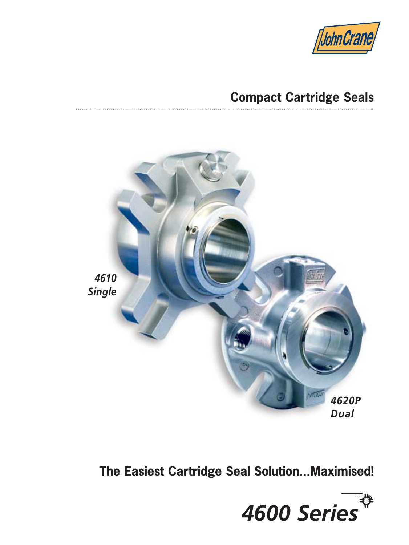

# **Compact Cartridge Seals**



**The Easiest Cartridge Seal Solution...Maximised!**

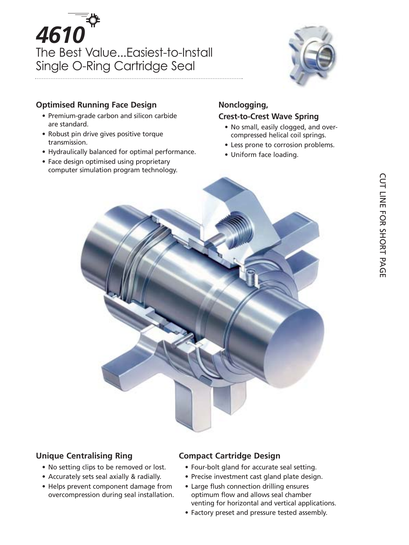# *4610* The Best Value...Easiest-to-Install Single O-Ring Cartridge Seal



#### **Optimised Running Face Design**

- Premium-grade carbon and silicon carbide are standard.
- Robust pin drive gives positive torque transmission.
- Hydraulically balanced for optimal performance.
- Face design optimised using proprietary computer simulation program technology.

#### **Nonclogging,**

#### **Crest-to-Crest Wave Spring**

- No small, easily clogged, and overcompressed helical coil springs.
- Less prone to corrosion problems.
- Uniform face loading.



#### **Unique Centralising Ring**

- No setting clips to be removed or lost.
- Accurately sets seal axially & radially.
- Helps prevent component damage from overcompression during seal installation.

#### **Compact Cartridge Design**

- Four-bolt gland for accurate seal setting.
- Precise investment cast gland plate design.
- Large flush connection drilling ensures optimum flow and allows seal chamber venting for horizontal and vertical applications.
- Factory preset and pressure tested assembly.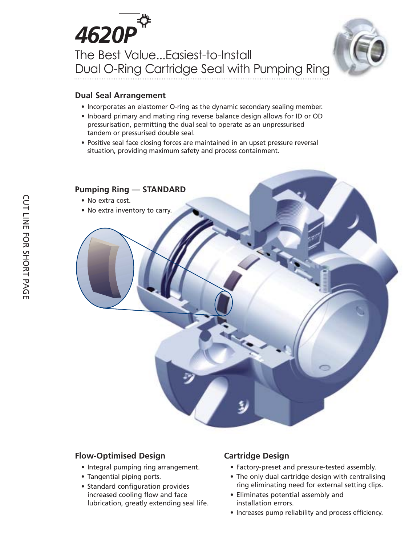# *4620P* The Best Value...Easiest-to-Install Dual O-Ring Cartridge Seal with Pumping Ring



#### **Dual Seal Arrangement**

- Incorporates an elastomer O-ring as the dynamic secondary sealing member.
- Inboard primary and mating ring reverse balance design allows for ID or OD pressurisation, permitting the dual seal to operate as an unpressurised tandem or pressurised double seal.
- Positive seal face closing forces are maintained in an upset pressure reversal situation, providing maximum safety and process containment.



#### **Flow-Optimised Design**

- Integral pumping ring arrangement.
- Tangential piping ports.
- Standard configuration provides increased cooling flow and face lubrication, greatly extending seal life.

#### **Cartridge Design**

- Factory-preset and pressure-tested assembly.
- The only dual cartridge design with centralising ring eliminating need for external setting clips.
- Eliminates potential assembly and installation errors.
- Increases pump reliability and process efficiency.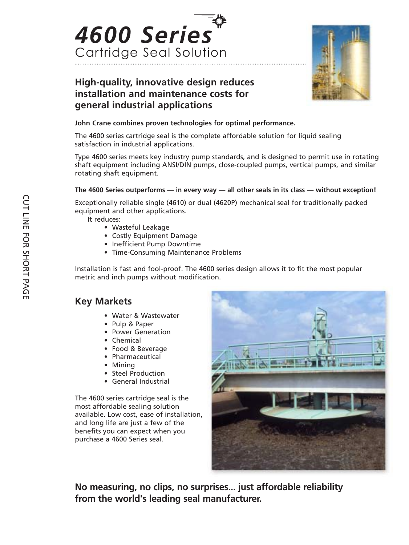



### **High-quality, innovative design reduces installation and maintenance costs for general industrial applications**

#### **John Crane combines proven technologies for optimal performance.**

The 4600 series cartridge seal is the complete affordable solution for liquid sealing satisfaction in industrial applications.

Type 4600 series meets key industry pump standards, and is designed to permit use in rotating shaft equipment including ANSI/DIN pumps, close-coupled pumps, vertical pumps, and similar rotating shaft equipment.

#### **The 4600 Series outperforms — in every way — all other seals in its class — without exception!**

Exceptionally reliable single (4610) or dual (4620P) mechanical seal for traditionally packed equipment and other applications.

It reduces:

- Wasteful Leakage
- Costly Equipment Damage
- Inefficient Pump Downtime
- Time-Consuming Maintenance Problems

Installation is fast and fool-proof. The 4600 series design allows it to fit the most popular metric and inch pumps without modification.

#### **Key Markets**

- Water & Wastewater
- Pulp & Paper
- Power Generation
- Chemical
- Food & Beverage
- Pharmaceutical
- Mining
- Steel Production
- General Industrial

The 4600 series cartridge seal is the most affordable sealing solution available. Low cost, ease of installation, and long life are just a few of the benefits you can expect when you purchase a 4600 Series seal.



**No measuring, no clips, no surprises... just affordable reliability from the world's leading seal manufacturer.**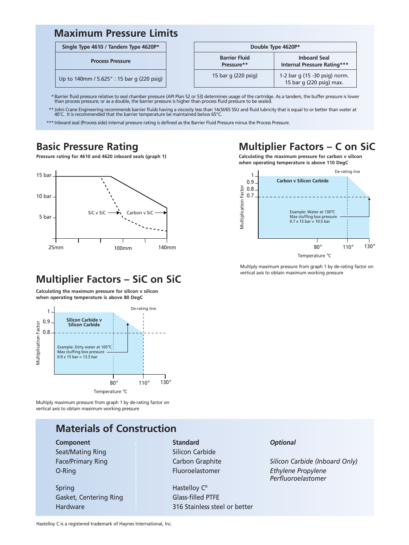## **Maximum Pressure Limits**

#### **Single Type 4610 / Tandem Type 4620P\***

#### **Process Pressure**

Up to 140mm / 5.625" : 15 bar g (220 psig)

| Double Type 4620P* |                                    |                                                           |  |  |  |  |  |
|--------------------|------------------------------------|-----------------------------------------------------------|--|--|--|--|--|
|                    | <b>Barrier Fluid</b><br>Pressure** | <b>Inboard Seal</b><br><b>Internal Pressure Rating***</b> |  |  |  |  |  |
|                    | 15 bar g (220 psig)                | 1-2 bar g (15 -30 psig) norm.<br>15 bar g (220 psig) max. |  |  |  |  |  |

\* Barrier fluid pressure relative to seal chamber pressure (API Plan 52 or 53) determines usage of the cartridge. As a tandem, the buffer pressure is lower<br>than process pressure; or as a double, the barrier pressure is hig

\*\* John Crane Engineering recommends barrier fluids having a viscosity less than 14cSt/65 SSU and fluid lubricity that is equal to or better than water at<br>- 40°C. It is recommended that the barrier temperature be maintaine

\*\*\* Inboard seal (Process side) internal pressure rating is defined as the Barrier Fluid Pressure minus the Process Pressure.

#### **Basic Pressure Rating**

# **Multiplier Factors – C on SiC**

**Pressure rating for 4610 and 4620 inboard seals (graph 1)**



**Calculating the maximum pressure for carbon v silicon when operating temperature is above 110 DegC**



Multiply maximum pressure from graph 1 by de-rating factor on vertical axis to obtain maximum working pressure

## **Multiplier Factors – SiC on SiC**

**Calculating the maximum pressure for silicon v silicon when operating temperature is above 80 DegC**



Multiply maximum pressure from graph 1 by de-rating factor on vertical axis to obtain maximum working pressure

## **Materials of Construction**

Seat/Mating Ring Silicon Carbide

Spring **Hastelloy C® Hastelloy C®** Gasket, Centering Ring Glass-filled PTFE

**Component Component Standard** *Optional* 

Hardware 316 Stainless steel or better

Face/Primary Ring **Carbon Graphite Carbon Graphite** *Silicon Carbide (Inboard Only)* O-Ring Fluoroelastomer *Ethylene Propylene Perfluoroelastomer* 

Hastelloy C is a registered trademark of Haynes International, Inc.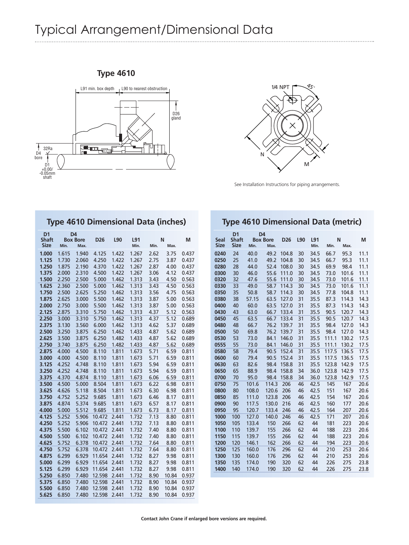# Typical Arrangement/Dimensional Data





See Installation Instructions for piping arrangements.

|                                               |                |                                           | <b>Type 4610 Dimensional Data (inches)</b> |                |                |              |              |                |
|-----------------------------------------------|----------------|-------------------------------------------|--------------------------------------------|----------------|----------------|--------------|--------------|----------------|
| D <sub>1</sub><br><b>Shaft</b><br><b>Size</b> | Min.           | D <sub>4</sub><br><b>Box Bore</b><br>Max. | D <sub>26</sub>                            | L90            | L91<br>Min.    | Min.         | N<br>Max.    | М              |
| 1.000                                         | 1.615          | 1.940                                     | 4.125                                      | 1.422          | 1.267          | 2.62         | 3.75         | 0.437          |
| 1.125                                         | 1.730          | 2.060                                     | 4.250                                      | 1.422          | 1.267          | 2.75         | 3.87         | 0.437          |
| 1.250                                         | 1.875          | 2.190                                     | 4.370                                      | 1.422          | 1.267          | 2.87         | 4.00         | 0.437          |
| 1.375                                         | 2.000          | 2.310                                     | 4.500                                      | 1.422          | 1.267          | 3.06         | 4.12         | 0.437          |
| 1.500                                         | 2.250          | 2.500                                     | 5.000                                      | 1.462          | 1.313          | 3.43         | 4.50         | 0.563          |
| 1.625                                         | 2.360          | 2.500                                     | 5.000                                      | 1.462          | 1.313          | 3.43         | 4.50         | 0.563          |
| 1.750                                         | 2.500          | 2.625                                     | 5.250                                      | 1.462          | 1.313          | 3.56         | 4.75         | 0.563          |
| 1.875                                         | 2.625          | 3.000                                     | 5.500                                      | 1.462          | 1.313          | 3.87         | 5.00         | 0.563          |
| 2.000                                         | 2.750          | 3.000                                     | 5.500                                      | 1.462          | 1.313          | 3.87         | 5.00         | 0.563          |
| 2.125                                         | 2.875          | 3.310                                     | 5.750                                      | 1.462          | 1.313          | 4.37         | 5.12         | 0.563          |
| 2.250                                         | 3.000          | 3.310                                     | 5.750                                      | 1.462          | 1.313          | 4.37         | 5.12         | 0.689          |
| 2.375                                         | 3.130          | 3.560                                     | 6.000                                      | 1.462          | 1.313          | 4.62         | 5.37         | 0.689          |
| 2.500                                         | 3.250          | 3.875                                     | 6.250                                      | 1.462          | 1.433          | 4.87         | 5.62         | 0.689          |
| 2.625                                         | 3.500          | 3.875                                     | 6.250                                      | 1.482          | 1.433          | 4.87         | 5.62         | 0.689          |
| 2.750                                         | 3.740          | 3.875                                     | 6.250                                      | 1.482          | 1.433          | 4.87         | 5.62         | 0.689          |
| 2.875                                         | 4.000          | 4.500                                     | 8.110                                      | 1.811          | 1.673          | 5.71         | 6.59         | 0.811          |
| 3.000                                         | 4.000          | 4.500                                     | 8.110                                      | 1.811          | 1.673          | 5.71         | 6.59         | 0.811          |
| 3.125                                         | 4.252          | 4.748                                     | 8.110                                      | 1.811          | 1.673          | 5.94         | 6.59         | 0.811          |
| 3.250                                         | 4.252          | 4.748                                     | 8.110                                      | 1.811          | 1.673          | 5.94         | 6.59         | 0.811          |
| 3.375                                         | 4.370          | 4.874                                     | 8.110                                      | 1.811          | 1.673          | 6.06         | 6.59         | 0.811          |
| 3.500                                         | 4.500          | 5.000                                     | 8.504                                      | 1.811          | 1.673          | 6.22         | 6.98         | 0.811          |
| 3.625<br>3.750                                | 4.626          | 5.118<br>5.252                            | 8.504                                      | 1.811          | 1.673          | 6.30         | 6.98<br>8.17 | 0.811          |
| 3.875                                         | 4.752<br>4.874 | 5.374                                     | 9.685<br>9.685                             | 1.811<br>1.811 | 1.673<br>1.673 | 6.46<br>6.57 | 8.17         | 0.811<br>0.811 |
| 4.000                                         | 5.000          | 5.512                                     | 9.685                                      | 1.811          | 1.673          | 6.73         | 8.17         | 0.811          |
| 4.125                                         | 5.252          | 5.906                                     | 10.472                                     | 2.441          | 1.732          | 7.13         | 8.80         | 0.811          |
| 4.250                                         | 5.252          | 5.906                                     | 10.472                                     | 2.441          | 1.732          | 7.13         | 8.80         | 0.811          |
| 4.375                                         | 5.500          | 6.102                                     | 10.472                                     | 2.441          | 1.732          | 7.40         | 8.80         | 0.811          |
| 4.500                                         | 5.500          | 6.102                                     | 10.472                                     | 2.441          | 1.732          | 7.40         | 8.80         | 0.811          |
| 4.625                                         | 5.752          | 6.378                                     | 10.472                                     | 2.441          | 1.732          | 7.64         | 8.80         | 0.811          |
| 4.750                                         | 5.752          | 6.378                                     | 10.472                                     | 2.441          | 1.732          | 7.64         | 8.80         | 0.811          |
| 4.875                                         | 6.299          | 6.929                                     | 11.654                                     | 2.441          | 1.732          | 8.27         | 9.98         | 0.811          |
| 5.000                                         | 6.299          | 6.929                                     | 11.654                                     | 2.441          | 1.732          | 8.27         | 9.98         | 0.811          |
| 5.125                                         | 6.299          | 6.929                                     | 11.654                                     | 2.441          | 1.732          | 8.27         | 9.98         | 0.811          |
| 5.250                                         | 6.850          | 7.480                                     | 12.598                                     | 2.441          | 1.732          | 8.90         | 10.84        | 0.937          |
| 5.375                                         | 6.850          | 7.480                                     | 12.598                                     | 2.441          | 1.732          | 8.90         | 10.84        | 0.937          |
| 5.500                                         | 6.850          | 7.480                                     | 12.598                                     | 2.441          | 1.732          | 8.90         | 10.84        | 0.937          |
| 5.625                                         | 6.850          | 7.480                                     | 12.598                                     | 2.441          | 1.732          | 8.90         | 10.84        | 0.937          |

#### **Type 4610 Dimensional Data (metric)**

| <b>Seal</b>  | D <sub>1</sub><br><b>Shaft</b> |                | D <sub>4</sub><br><b>Box Bore</b> |            | L90      | L91      | N          |            | M            |
|--------------|--------------------------------|----------------|-----------------------------------|------------|----------|----------|------------|------------|--------------|
| <b>Size</b>  | <b>Size</b>                    | Min.           | Max.                              | <b>D26</b> |          | Min.     | Min.       | Max.       |              |
| 0240         | 24                             | 40.0           | 49.2                              | 104.8      | 30       | 34.5     | 66.7       | 95.3       | 11.1         |
| 0250         | 25                             | 41.0           | 49.2                              | 104.8      | 30       | 34.5     | 66.7       | 95.3       | 11.1         |
| 0280         | 28                             | 44.0           | 52.4                              | 108.0      | 30       | 34.5     | 69.9       | 98.4       | 11.1         |
| 0300         | 30                             | 46.0           | 55.6                              | 111.0      | 30       | 34.5     | 73.0       | 101.6      | 11.1         |
| 0320         | 32                             | 47.6           | 55.6                              | 111.0      | 30       | 34.5     | 73.0       | 101.6      | 11.1         |
| 0330         | 33                             | 49.0           | 58.7                              | 114.3      | 30       | 34.5     | 73.0       | 101.6      | 11.1         |
| 0350         | 35                             | 50.8           | 58.7                              | 114.3      | 30       | 34.5     | 77.8       | 104.8      | 11.1         |
| 0380         | 38                             | 57.15          | 63.5                              | 127.0      | 31       | 35.5     | 87.3       | 114.3      | 14.3         |
| 0400         | 40                             | 60.0           | 63.5                              | 127.0      | 31       | 35.5     | 87.3       | 114.3      | 14.3         |
| 0430         | 43                             | 63.0           | 66.7                              | 133.4      | 31       | 35.5     | 90.5       | 120.7      | 14.3         |
| 0450         | 45                             | 63.5           | 66.7                              | 133.4      | 31       | 35.5     | 90.5       | 120.7      | 14.3         |
| 0480         | 48                             | 66.7           | 76.2                              | 139.7      | 31       | 35.5     | 98.4       | 127.0      | 14.3         |
| 0500         | 50                             | 69.8           | 76.2                              | 139.7      | 31       | 35.5     | 98.4       | 127.0      | 14.3         |
| 0530         | 53                             | 73.0           | 84.1                              | 146.0      | 31       | 35.5     | 111.1      | 130.2      | 17.5         |
| 0555         | 55                             | 73.0           | 84.1                              | 146.0      | 31       | 35.5     | 111.1      | 130.2      | 17.5         |
| 0580         | 58                             | 79.4           | 90.5                              | 152.4      | 31       | 35.5     | 117.5      | 136.5      | 17.5         |
| 0600         | 60                             | 79.4           | 90.5                              | 152.4      | 31       | 35.5     | 117.5      | 136.5      | 17.5         |
| 0630         | 63                             | 82.6           | 98.4                              | 158.8      | 31       | 35.5     | 123.8      | 142.9      | 17.5         |
| 0650         | 65                             | 88.9           | 98.4                              | 158.8      | 34       | 36.0     | 123.8      | 142.9      | 17.5         |
| 0700         | 70                             | 95.0           | 98.4                              | 158.8      | 34       | 36.0     | 123.8      | 142.9      | 17.5         |
| 0750         | 75                             | 101.6          | 114.3                             | 206        | 46       | 42.5     | 145        | 167        | 20.6         |
| 0800         | 80                             | 108.0          | 120.6                             | 206        | 46       | 42.5     | 151        | 167        | 20.6         |
| 0850         | 85                             | 111.0          | 123.8                             | 206        | 46       | 42.5     | 154        | 167        | 20.6         |
| 0900         | 90                             | 117.5          | 130.0                             | 216        | 46       | 42.5     | 160        | 177        | 20.6         |
| 0950         | 95                             | 120.7          | 133.4                             | 246        | 46       | 42.5     | 164        | 207        | 20.6         |
| 1000         | 100                            | 127.0          | 140.0                             | 246        | 46       | 42.5     | 171        | 207        | 20.6         |
| 1050         | 105                            | 133.4          | 150                               | 266        | 62       | 44       | 181        | 223        | 20.6         |
| 1100         | 110                            | 139.7          | 155                               | 266        | 62       | 44       | 188        | 223        | 20.6         |
| 1150         | 115                            | 139.7          | 155                               | 266        | 62       | 44       | 188        | 223        | 20.6         |
| 1200         | 120                            | 146.1          | 162                               | 266        | 62       | 44       | 194        | 223        | 20.6         |
| 1250         | 125                            | 160.0          | 176                               | 296        | 62       | 44       | 210        | 253        | 20.6         |
| 1300         | 130                            | 160.0          | 176                               | 296        | 62       | 44       | 210        | 253        | 20.6         |
| 1350<br>1400 | 135<br>140                     | 174.0<br>174.0 | 190<br>190                        | 320<br>320 | 62<br>62 | 44<br>44 | 226<br>226 | 275<br>275 | 23.8<br>23.8 |
|              |                                |                |                                   |            |          |          |            |            |              |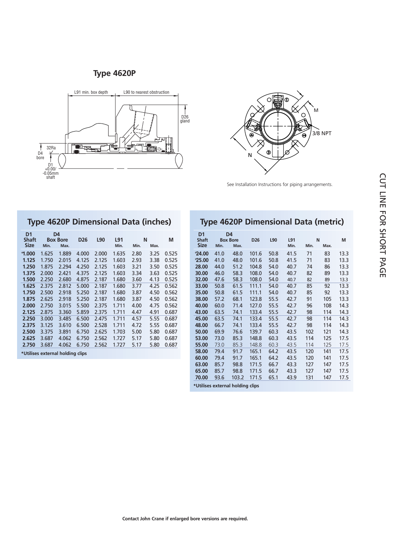#### **Type 4620P**





See Installation Instructions for piping arrangements.

|                                                                                                               |                                                                                                          |                                                                                                          |                                                                                                          |                                                                                                          | <b>Type 4620P Dimensional Data (inches)</b>                                                              |                                                                                              |                                                                                              |                                                                                                          |
|---------------------------------------------------------------------------------------------------------------|----------------------------------------------------------------------------------------------------------|----------------------------------------------------------------------------------------------------------|----------------------------------------------------------------------------------------------------------|----------------------------------------------------------------------------------------------------------|----------------------------------------------------------------------------------------------------------|----------------------------------------------------------------------------------------------|----------------------------------------------------------------------------------------------|----------------------------------------------------------------------------------------------------------|
| D <sub>1</sub><br><b>Shaft</b><br><b>Size</b>                                                                 | D4<br><b>Box Bore</b><br>Min.<br>Max.                                                                    |                                                                                                          | D <sub>26</sub>                                                                                          | L90                                                                                                      | L91<br>Min.                                                                                              | N<br>Min.                                                                                    | Max.                                                                                         | М                                                                                                        |
| $^*$ 1.000<br>1.125<br>1.250<br>1.375<br>1.500<br>1.625<br>1.750<br>1.875<br>2.000<br>2.125<br>2.250<br>2.375 | 1.625<br>1.750<br>1.875<br>2.000<br>2.250<br>2.375<br>2.500<br>2.625<br>2.750<br>2.875<br>3.000<br>3.125 | 1.889<br>2.015<br>2.294<br>2.421<br>2.680<br>2.812<br>2.918<br>2.918<br>3.015<br>3.360<br>3.485<br>3.610 | 4.000<br>4.125<br>4.250<br>4.375<br>4.875<br>5.000<br>5.250<br>5.250<br>5.500<br>5.859<br>6.500<br>6.500 | 2.000<br>2.125<br>2.125<br>2.125<br>2.187<br>2.187<br>2.187<br>2.187<br>2.375<br>2.375<br>2.475<br>2.528 | 1.635<br>1.603<br>1.603<br>1.603<br>1.680<br>1.680<br>1.680<br>1.680<br>1.711<br>1.711<br>1.711<br>1.711 | 2.80<br>2.93<br>3.21<br>3.34<br>3.60<br>3.77<br>3.87<br>3.87<br>4.00<br>4.47<br>4.57<br>4.72 | 3.25<br>3.38<br>3.50<br>3.63<br>4.13<br>4.25<br>4.50<br>4.50<br>4.75<br>4.91<br>5.55<br>5.55 | 0.525<br>0.525<br>0.525<br>0.525<br>0.525<br>0.562<br>0.562<br>0.562<br>0.562<br>0.687<br>0.687<br>0.687 |
| 2.500<br>2.625<br>2.750<br>*Utilises external holding clips                                                   | 3.375<br>3.687<br>3.687                                                                                  | 3.891<br>4.062<br>4.062                                                                                  | 6.750<br>6.750<br>6.750                                                                                  | 2.625<br>2.562<br>2.562                                                                                  | 1.703<br>1.727<br>1.727                                                                                  | 5.00<br>5.17<br>5.17                                                                         | 5.80<br>5.80<br>5.80                                                                         | 0.687<br>0.687<br>0.687                                                                                  |

|                                               |      | iype 4620P Dimensional Data (metric)      |                 |      |             |      |           |      |
|-----------------------------------------------|------|-------------------------------------------|-----------------|------|-------------|------|-----------|------|
| D <sub>1</sub><br><b>Shaft</b><br><b>Size</b> | Min. | D <sub>4</sub><br><b>Box Bore</b><br>Max. | D <sub>26</sub> | L90  | L91<br>Min. | Min. | N<br>Max. | M    |
| $*24.00$                                      | 41.0 | 48.0                                      | 101.6           | 50.8 | 41.5        | 71   | 83        | 13.3 |
| $*25.00$                                      | 41.0 | 48.0                                      | 101.6           | 50.8 | 41.5        | 71   | 83        | 13.3 |
| 28.00                                         | 44.0 | 51.2                                      | 104.8           | 54.0 | 40.7        | 74   | 86        | 13.3 |
| 30.00                                         | 46.0 | 58.3                                      | 108.0           | 54.0 | 40.7        | 82   | 89        | 13.3 |
| 32.00                                         | 47.6 | 58.3                                      | 108.0           | 54.0 | 40.7        | 82   | 89        | 13.3 |
| 33.00                                         | 50.8 | 61.5                                      | 111.1           | 54.0 | 40.7        | 85   | 92        | 13.3 |
| 35.00                                         | 50.8 | 61.5                                      | 111.1           | 54.0 | 40.7        | 85   | 92        | 13.3 |
| 38.00                                         | 57.2 | 68.1                                      | 123.8           | 55.5 | 42.7        | 91   | 105       | 13.3 |
| 40.00                                         | 60.0 | 71.4                                      | 127.0           | 55.5 | 42.7        | 96   | 108       | 14.3 |
| 43.00                                         | 63.5 | 74.1                                      | 133.4           | 55.5 | 42.7        | 98   | 114       | 14.3 |
| 45.00                                         | 63.5 | 74.1                                      | 133.4           | 55.5 | 42.7        | 98   | 114       | 14.3 |
| 48.00                                         | 66.7 | 74.1                                      | 133.4           | 55.5 | 42.7        | 98   | 114       | 14.3 |
| 50.00                                         | 69.9 | 76.6                                      | 139.7           | 60.3 | 43.5        | 102  | 121       | 14.3 |
| 53.00                                         | 73.0 | 85.3                                      | 148.8           | 60.3 | 43.5        | 114  | 125       | 17.5 |
| 55.00                                         | 73.0 | 85.3                                      | 148.8           | 60.3 | 43.5        | 114  | 125       | 17.5 |
| 58.00                                         | 79.4 | 91.7                                      | 165.1           | 64.2 | 43.5        | 120  | 141       | 17.5 |
| 60.00                                         | 79.4 | 91.7                                      | 165.1           | 64.2 | 43.5        | 120  | 141       | 17.5 |
| 63.00                                         | 85.7 | 98.8                                      | 171.5           | 66.7 | 43.3        | 127  | 147       | 17.5 |
| 65.00                                         | 85.7 | 98.8                                      | 171.5           | 66.7 | 43.3        | 127  | 147       | 17.5 |
| 70.00                                         | 93.6 | 103.2                                     | 171.5           | 65.1 | 43.9        | 131  | 147       | 17.5 |
| *Utilises external holding clips              |      |                                           |                 |      |             |      |           |      |

## **Type 4620P Dimensional Data (metric)**